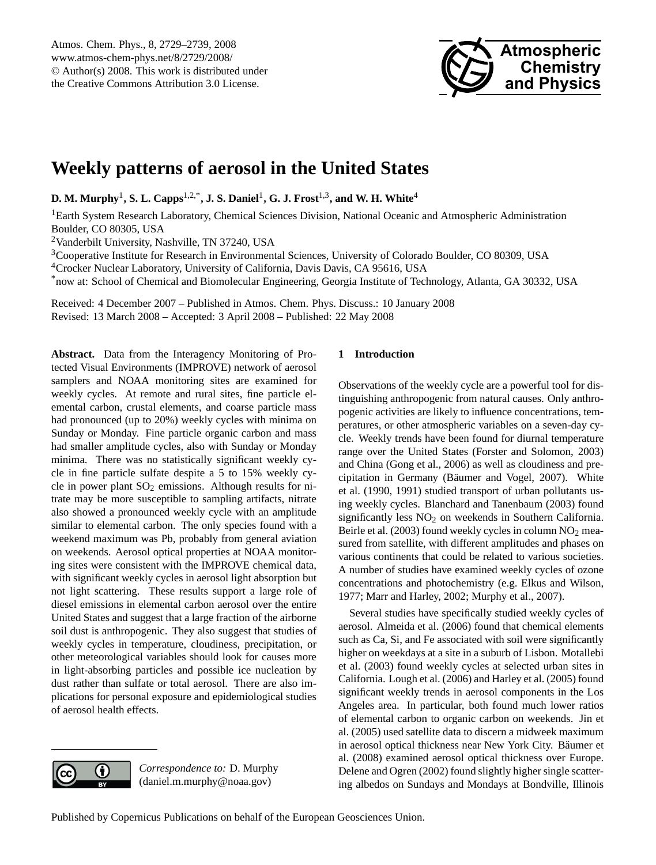

# <span id="page-0-0"></span>**Weekly patterns of aerosol in the United States**

**D. M. Murphy**<sup>1</sup> **, S. L. Capps**1,2,\***, J. S. Daniel**<sup>1</sup> **, G. J. Frost**1,3**, and W. H. White**<sup>4</sup>

<sup>1</sup>Earth System Research Laboratory, Chemical Sciences Division, National Oceanic and Atmospheric Administration Boulder, CO 80305, USA

<sup>2</sup>Vanderbilt University, Nashville, TN 37240, USA

<sup>3</sup>Cooperative Institute for Research in Environmental Sciences, University of Colorado Boulder, CO 80309, USA

<sup>4</sup>Crocker Nuclear Laboratory, University of California, Davis Davis, CA 95616, USA

\*now at: School of Chemical and Biomolecular Engineering, Georgia Institute of Technology, Atlanta, GA 30332, USA

Received: 4 December 2007 – Published in Atmos. Chem. Phys. Discuss.: 10 January 2008 Revised: 13 March 2008 – Accepted: 3 April 2008 – Published: 22 May 2008

**Abstract.** Data from the Interagency Monitoring of Protected Visual Environments (IMPROVE) network of aerosol samplers and NOAA monitoring sites are examined for weekly cycles. At remote and rural sites, fine particle elemental carbon, crustal elements, and coarse particle mass had pronounced (up to 20%) weekly cycles with minima on Sunday or Monday. Fine particle organic carbon and mass had smaller amplitude cycles, also with Sunday or Monday minima. There was no statistically significant weekly cycle in fine particle sulfate despite a 5 to 15% weekly cycle in power plant  $SO_2$  emissions. Although results for nitrate may be more susceptible to sampling artifacts, nitrate also showed a pronounced weekly cycle with an amplitude similar to elemental carbon. The only species found with a weekend maximum was Pb, probably from general aviation on weekends. Aerosol optical properties at NOAA monitoring sites were consistent with the IMPROVE chemical data, with significant weekly cycles in aerosol light absorption but not light scattering. These results support a large role of diesel emissions in elemental carbon aerosol over the entire United States and suggest that a large fraction of the airborne soil dust is anthropogenic. They also suggest that studies of weekly cycles in temperature, cloudiness, precipitation, or other meteorological variables should look for causes more in light-absorbing particles and possible ice nucleation by dust rather than sulfate or total aerosol. There are also implications for personal exposure and epidemiological studies of aerosol health effects.

# **1 Introduction**

Observations of the weekly cycle are a powerful tool for distinguishing anthropogenic from natural causes. Only anthropogenic activities are likely to influence concentrations, temperatures, or other atmospheric variables on a seven-day cycle. Weekly trends have been found for diurnal temperature range over the United States (Forster and Solomon, 2003) and China (Gong et al., 2006) as well as cloudiness and precipitation in Germany (Bäumer and Vogel, 2007). White et al. (1990, 1991) studied transport of urban pollutants using weekly cycles. Blanchard and Tanenbaum (2003) found significantly less  $NO<sub>2</sub>$  on weekends in Southern California. Beirle et al. (2003) found weekly cycles in column NO<sub>2</sub> measured from satellite, with different amplitudes and phases on various continents that could be related to various societies. A number of studies have examined weekly cycles of ozone concentrations and photochemistry (e.g. Elkus and Wilson, 1977; Marr and Harley, 2002; Murphy et al., 2007).

Several studies have specifically studied weekly cycles of aerosol. Almeida et al. (2006) found that chemical elements such as Ca, Si, and Fe associated with soil were significantly higher on weekdays at a site in a suburb of Lisbon. Motallebi et al. (2003) found weekly cycles at selected urban sites in California. Lough et al. (2006) and Harley et al. (2005) found significant weekly trends in aerosol components in the Los Angeles area. In particular, both found much lower ratios of elemental carbon to organic carbon on weekends. Jin et al. (2005) used satellite data to discern a midweek maximum in aerosol optical thickness near New York City. Bäumer et al. (2008) examined aerosol optical thickness over Europe. Delene and Ogren (2002) found slightly higher single scattering albedos on Sundays and Mondays at Bondville, Illinois

*Correspondence to:* D. Murphy (daniel.m.murphy@noaa.gov)

0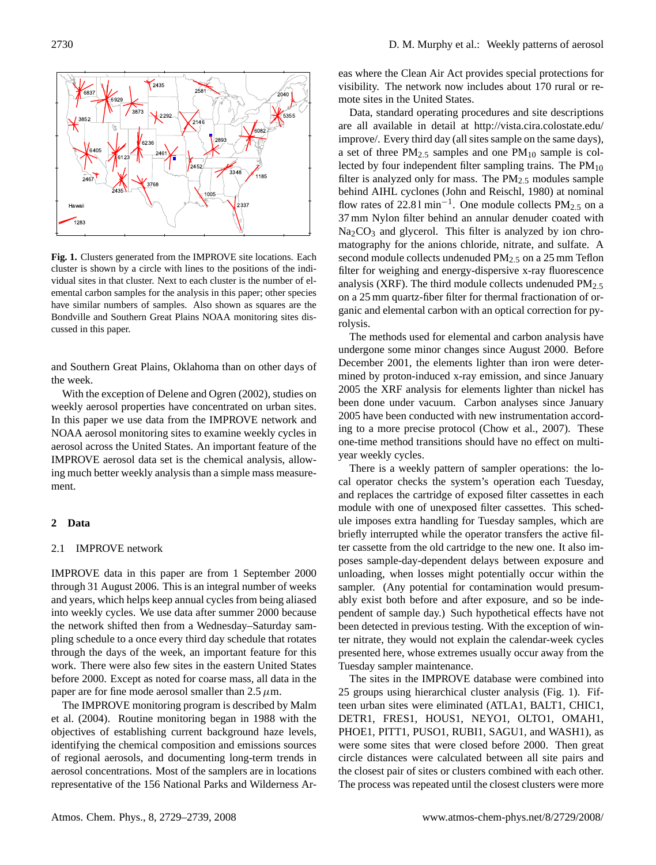

**Fig. 1.** Clusters generated from the IMPROVE site locations. Each cluster is shown by a circle with lines to the positions of the individual sites in that cluster. Next to each cluster is the number of elemental carbon samples for the analysis in this paper; other species have similar numbers of samples. Also shown as squares are the Bondville and Southern Great Plains NOAA monitoring sites discussed in this paper.

and Southern Great Plains, Oklahoma than on other days of the week.

With the exception of Delene and Ogren (2002), studies on weekly aerosol properties have concentrated on urban sites. In this paper we use data from the IMPROVE network and NOAA aerosol monitoring sites to examine weekly cycles in aerosol across the United States. An important feature of the IMPROVE aerosol data set is the chemical analysis, allowing much better weekly analysis than a simple mass measurement.

## **2 Data**

#### 2.1 IMPROVE network

IMPROVE data in this paper are from 1 September 2000 through 31 August 2006. This is an integral number of weeks and years, which helps keep annual cycles from being aliased into weekly cycles. We use data after summer 2000 because the network shifted then from a Wednesday–Saturday sampling schedule to a once every third day schedule that rotates through the days of the week, an important feature for this work. There were also few sites in the eastern United States before 2000. Except as noted for coarse mass, all data in the paper are for fine mode aerosol smaller than  $2.5 \mu$ m.

The IMPROVE monitoring program is described by Malm et al. (2004). Routine monitoring began in 1988 with the objectives of establishing current background haze levels, identifying the chemical composition and emissions sources of regional aerosols, and documenting long-term trends in aerosol concentrations. Most of the samplers are in locations representative of the 156 National Parks and Wilderness Areas where the Clean Air Act provides special protections for visibility. The network now includes about 170 rural or remote sites in the United States.

Data, standard operating procedures and site descriptions are all available in detail at [http://vista.cira.colostate.edu/](http://vista.cira.colostate.edu/improve/) [improve/.](http://vista.cira.colostate.edu/improve/) Every third day (all sites sample on the same days), a set of three  $PM_{2.5}$  samples and one  $PM_{10}$  sample is collected by four independent filter sampling trains. The  $PM_{10}$ filter is analyzed only for mass. The  $PM_{2.5}$  modules sample behind AIHL cyclones (John and Reischl, 1980) at nominal flow rates of 22.81 min<sup>-1</sup>. One module collects  $PM_{2.5}$  on a 37 mm Nylon filter behind an annular denuder coated with Na<sub>2</sub>CO<sub>3</sub> and glycerol. This filter is analyzed by ion chromatography for the anions chloride, nitrate, and sulfate. A second module collects undenuded  $PM<sub>2.5</sub>$  on a 25 mm Teflon filter for weighing and energy-dispersive x-ray fluorescence analysis (XRF). The third module collects undenuded  $PM_{2.5}$ on a 25 mm quartz-fiber filter for thermal fractionation of organic and elemental carbon with an optical correction for pyrolysis.

The methods used for elemental and carbon analysis have undergone some minor changes since August 2000. Before December 2001, the elements lighter than iron were determined by proton-induced x-ray emission, and since January 2005 the XRF analysis for elements lighter than nickel has been done under vacuum. Carbon analyses since January 2005 have been conducted with new instrumentation according to a more precise protocol (Chow et al., 2007). These one-time method transitions should have no effect on multiyear weekly cycles.

There is a weekly pattern of sampler operations: the local operator checks the system's operation each Tuesday, and replaces the cartridge of exposed filter cassettes in each module with one of unexposed filter cassettes. This schedule imposes extra handling for Tuesday samples, which are briefly interrupted while the operator transfers the active filter cassette from the old cartridge to the new one. It also imposes sample-day-dependent delays between exposure and unloading, when losses might potentially occur within the sampler. (Any potential for contamination would presumably exist both before and after exposure, and so be independent of sample day.) Such hypothetical effects have not been detected in previous testing. With the exception of winter nitrate, they would not explain the calendar-week cycles presented here, whose extremes usually occur away from the Tuesday sampler maintenance.

The sites in the IMPROVE database were combined into 25 groups using hierarchical cluster analysis (Fig. 1). Fifteen urban sites were eliminated (ATLA1, BALT1, CHIC1, DETR1, FRES1, HOUS1, NEYO1, OLTO1, OMAH1, PHOE1, PITT1, PUSO1, RUBI1, SAGU1, and WASH1), as were some sites that were closed before 2000. Then great circle distances were calculated between all site pairs and the closest pair of sites or clusters combined with each other. The process was repeated until the closest clusters were more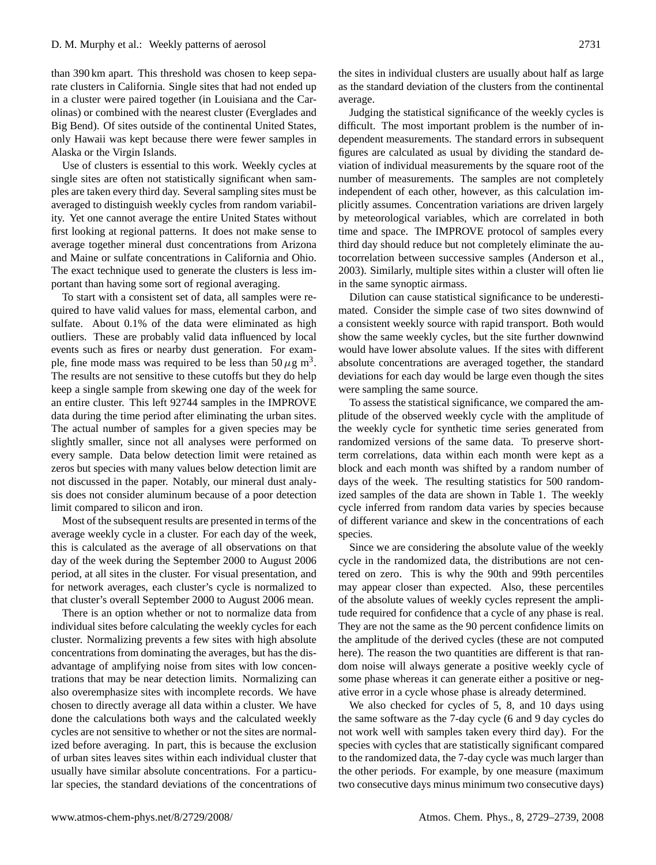than 390 km apart. This threshold was chosen to keep separate clusters in California. Single sites that had not ended up in a cluster were paired together (in Louisiana and the Carolinas) or combined with the nearest cluster (Everglades and Big Bend). Of sites outside of the continental United States, only Hawaii was kept because there were fewer samples in Alaska or the Virgin Islands.

Use of clusters is essential to this work. Weekly cycles at single sites are often not statistically significant when samples are taken every third day. Several sampling sites must be averaged to distinguish weekly cycles from random variability. Yet one cannot average the entire United States without first looking at regional patterns. It does not make sense to average together mineral dust concentrations from Arizona and Maine or sulfate concentrations in California and Ohio. The exact technique used to generate the clusters is less important than having some sort of regional averaging.

To start with a consistent set of data, all samples were required to have valid values for mass, elemental carbon, and sulfate. About 0.1% of the data were eliminated as high outliers. These are probably valid data influenced by local events such as fires or nearby dust generation. For example, fine mode mass was required to be less than 50  $\mu$ g m<sup>3</sup>. The results are not sensitive to these cutoffs but they do help keep a single sample from skewing one day of the week for an entire cluster. This left 92744 samples in the IMPROVE data during the time period after eliminating the urban sites. The actual number of samples for a given species may be slightly smaller, since not all analyses were performed on every sample. Data below detection limit were retained as zeros but species with many values below detection limit are not discussed in the paper. Notably, our mineral dust analysis does not consider aluminum because of a poor detection limit compared to silicon and iron.

Most of the subsequent results are presented in terms of the average weekly cycle in a cluster. For each day of the week, this is calculated as the average of all observations on that day of the week during the September 2000 to August 2006 period, at all sites in the cluster. For visual presentation, and for network averages, each cluster's cycle is normalized to that cluster's overall September 2000 to August 2006 mean.

There is an option whether or not to normalize data from individual sites before calculating the weekly cycles for each cluster. Normalizing prevents a few sites with high absolute concentrations from dominating the averages, but has the disadvantage of amplifying noise from sites with low concentrations that may be near detection limits. Normalizing can also overemphasize sites with incomplete records. We have chosen to directly average all data within a cluster. We have done the calculations both ways and the calculated weekly cycles are not sensitive to whether or not the sites are normalized before averaging. In part, this is because the exclusion of urban sites leaves sites within each individual cluster that usually have similar absolute concentrations. For a particular species, the standard deviations of the concentrations of the sites in individual clusters are usually about half as large as the standard deviation of the clusters from the continental average.

Judging the statistical significance of the weekly cycles is difficult. The most important problem is the number of independent measurements. The standard errors in subsequent figures are calculated as usual by dividing the standard deviation of individual measurements by the square root of the number of measurements. The samples are not completely independent of each other, however, as this calculation implicitly assumes. Concentration variations are driven largely by meteorological variables, which are correlated in both time and space. The IMPROVE protocol of samples every third day should reduce but not completely eliminate the autocorrelation between successive samples (Anderson et al., 2003). Similarly, multiple sites within a cluster will often lie in the same synoptic airmass.

Dilution can cause statistical significance to be underestimated. Consider the simple case of two sites downwind of a consistent weekly source with rapid transport. Both would show the same weekly cycles, but the site further downwind would have lower absolute values. If the sites with different absolute concentrations are averaged together, the standard deviations for each day would be large even though the sites were sampling the same source.

To assess the statistical significance, we compared the amplitude of the observed weekly cycle with the amplitude of the weekly cycle for synthetic time series generated from randomized versions of the same data. To preserve shortterm correlations, data within each month were kept as a block and each month was shifted by a random number of days of the week. The resulting statistics for 500 randomized samples of the data are shown in Table 1. The weekly cycle inferred from random data varies by species because of different variance and skew in the concentrations of each species.

Since we are considering the absolute value of the weekly cycle in the randomized data, the distributions are not centered on zero. This is why the 90th and 99th percentiles may appear closer than expected. Also, these percentiles of the absolute values of weekly cycles represent the amplitude required for confidence that a cycle of any phase is real. They are not the same as the 90 percent confidence limits on the amplitude of the derived cycles (these are not computed here). The reason the two quantities are different is that random noise will always generate a positive weekly cycle of some phase whereas it can generate either a positive or negative error in a cycle whose phase is already determined.

We also checked for cycles of 5, 8, and 10 days using the same software as the 7-day cycle (6 and 9 day cycles do not work well with samples taken every third day). For the species with cycles that are statistically significant compared to the randomized data, the 7-day cycle was much larger than the other periods. For example, by one measure (maximum two consecutive days minus minimum two consecutive days)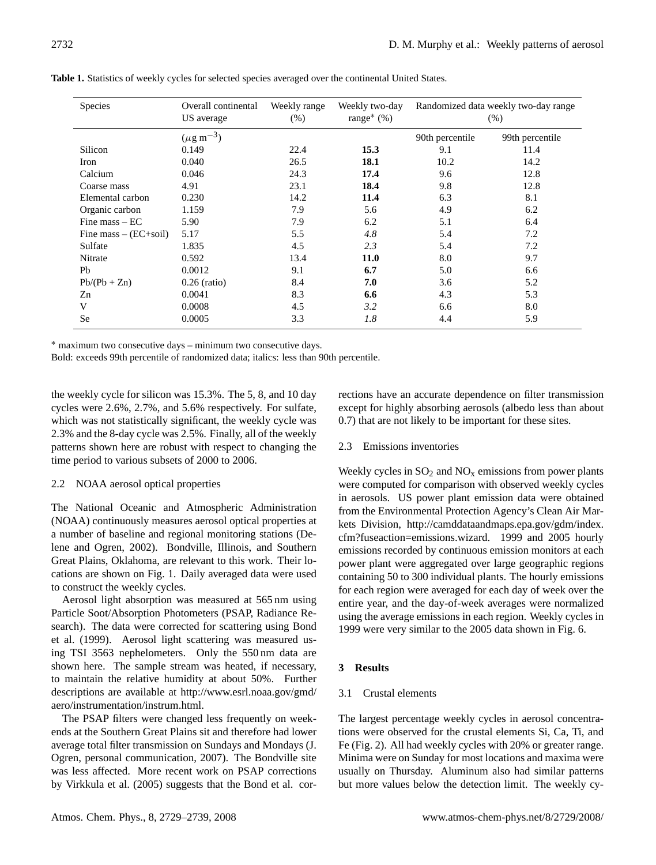| <b>Species</b>          | Overall continental<br>US average | Weekly range<br>(% ) | Weekly two-day<br>range <sup>*</sup> $(\%)$ | Randomized data weekly two-day range<br>$(\% )$ |                 |
|-------------------------|-----------------------------------|----------------------|---------------------------------------------|-------------------------------------------------|-----------------|
|                         | $(\mu g \, \text{m}^{-3})$        |                      |                                             | 90th percentile                                 | 99th percentile |
| Silicon                 | 0.149                             | 22.4                 | 15.3                                        | 9.1                                             | 11.4            |
| Iron                    | 0.040                             | 26.5                 | 18.1                                        | 10.2                                            | 14.2            |
| Calcium                 | 0.046                             | 24.3                 | 17.4                                        | 9.6                                             | 12.8            |
| Coarse mass             | 4.91                              | 23.1                 | 18.4                                        | 9.8                                             | 12.8            |
| Elemental carbon        | 0.230                             | 14.2                 | 11.4                                        | 6.3                                             | 8.1             |
| Organic carbon          | 1.159                             | 7.9                  | 5.6                                         | 4.9                                             | 6.2             |
| Fine mass $-EC$         | 5.90                              | 7.9                  | 6.2                                         | 5.1                                             | 6.4             |
| Fine mass $-$ (EC+soil) | 5.17                              | 5.5                  | 4.8                                         | 5.4                                             | 7.2             |
| Sulfate                 | 1.835                             | 4.5                  | 2.3                                         | 5.4                                             | 7.2             |
| Nitrate                 | 0.592                             | 13.4                 | <b>11.0</b>                                 | 8.0                                             | 9.7             |
| Pb                      | 0.0012                            | 9.1                  | 6.7                                         | 5.0                                             | 6.6             |
| $Pb/(Pb + Zn)$          | $0.26$ (ratio)                    | 8.4                  | 7.0                                         | 3.6                                             | 5.2             |
| Zn                      | 0.0041                            | 8.3                  | 6.6                                         | 4.3                                             | 5.3             |
| V                       | 0.0008                            | 4.5                  | 3.2                                         | 6.6                                             | 8.0             |
| Se                      | 0.0005                            | 3.3                  | 1.8                                         | 4.4                                             | 5.9             |

**Table 1.** Statistics of weekly cycles for selected species averaged over the continental United States.

<sup>∗</sup> maximum two consecutive days – minimum two consecutive days.

Bold: exceeds 99th percentile of randomized data; italics: less than 90th percentile.

the weekly cycle for silicon was 15.3%. The 5, 8, and 10 day cycles were 2.6%, 2.7%, and 5.6% respectively. For sulfate, which was not statistically significant, the weekly cycle was 2.3% and the 8-day cycle was 2.5%. Finally, all of the weekly patterns shown here are robust with respect to changing the time period to various subsets of 2000 to 2006.

# 2.2 NOAA aerosol optical properties

The National Oceanic and Atmospheric Administration (NOAA) continuously measures aerosol optical properties at a number of baseline and regional monitoring stations (Delene and Ogren, 2002). Bondville, Illinois, and Southern Great Plains, Oklahoma, are relevant to this work. Their locations are shown on Fig. 1. Daily averaged data were used to construct the weekly cycles.

Aerosol light absorption was measured at 565 nm using Particle Soot/Absorption Photometers (PSAP, Radiance Research). The data were corrected for scattering using Bond et al. (1999). Aerosol light scattering was measured using TSI 3563 nephelometers. Only the 550 nm data are shown here. The sample stream was heated, if necessary, to maintain the relative humidity at about 50%. Further descriptions are available at [http://www.esrl.noaa.gov/gmd/](http://www.esrl.noaa.gov/gmd/aero/instrumentation/instrum.html) [aero/instrumentation/instrum.html.](http://www.esrl.noaa.gov/gmd/aero/instrumentation/instrum.html)

The PSAP filters were changed less frequently on weekends at the Southern Great Plains sit and therefore had lower average total filter transmission on Sundays and Mondays (J. Ogren, personal communication, 2007). The Bondville site was less affected. More recent work on PSAP corrections by Virkkula et al. (2005) suggests that the Bond et al. corrections have an accurate dependence on filter transmission except for highly absorbing aerosols (albedo less than about 0.7) that are not likely to be important for these sites.

# 2.3 Emissions inventories

Weekly cycles in  $SO_2$  and  $NO_x$  emissions from power plants were computed for comparison with observed weekly cycles in aerosols. US power plant emission data were obtained from the Environmental Protection Agency's Clean Air Markets Division, [http://camddataandmaps.epa.gov/gdm/index.](http://camddataandmaps.epa.gov/gdm/index.cfm?fuseaction=emissions.wizard) [cfm?fuseaction=emissions.wizard.](http://camddataandmaps.epa.gov/gdm/index.cfm?fuseaction=emissions.wizard) 1999 and 2005 hourly emissions recorded by continuous emission monitors at each power plant were aggregated over large geographic regions containing 50 to 300 individual plants. The hourly emissions for each region were averaged for each day of week over the entire year, and the day-of-week averages were normalized using the average emissions in each region. Weekly cycles in 1999 were very similar to the 2005 data shown in Fig. 6.

# **3 Results**

## 3.1 Crustal elements

The largest percentage weekly cycles in aerosol concentrations were observed for the crustal elements Si, Ca, Ti, and Fe (Fig. 2). All had weekly cycles with 20% or greater range. Minima were on Sunday for most locations and maxima were usually on Thursday. Aluminum also had similar patterns but more values below the detection limit. The weekly cy-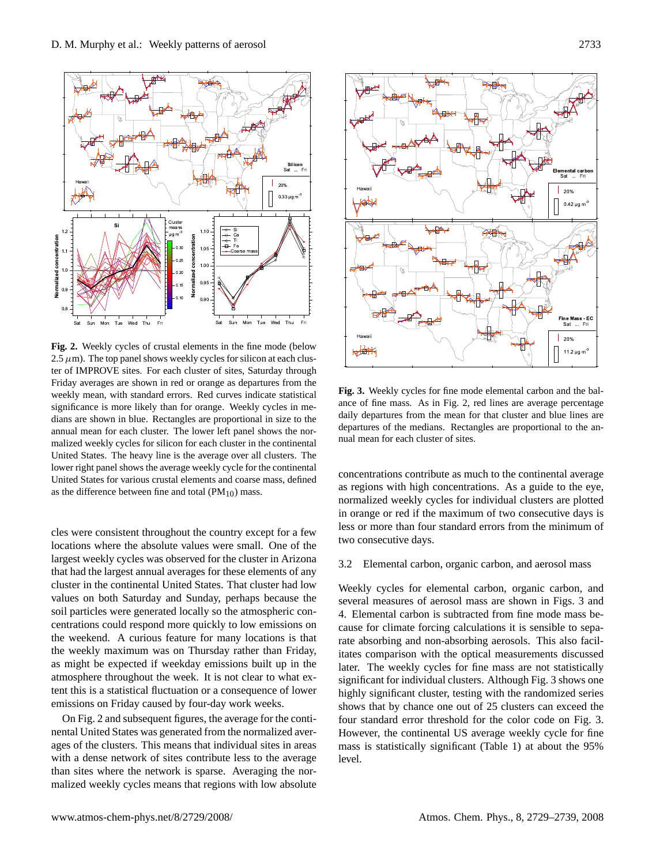

**Fig. 2.** Weekly cycles of crustal elements in the fine mode (below 2.5  $\mu$ m). The top panel shows weekly cycles for silicon at each cluster of IMPROVE sites. For each cluster of sites, Saturday through Friday averages are shown in red or orange as departures from the weekly mean, with standard errors. Red curves indicate statistical significance is more likely than for orange. Weekly cycles in medians are shown in blue. Rectangles are proportional in size to the annual mean for each cluster. The lower left panel shows the normalized weekly cycles for silicon for each cluster in the continental United States. The heavy line is the average over all clusters. The lower right panel shows the average weekly cycle for the continental United States for various crustal elements and coarse mass, defined as the difference between fine and total  $(PM_{10})$  mass.

cles were consistent throughout the country except for a few locations where the absolute values were small. One of the largest weekly cycles was observed for the cluster in Arizona that had the largest annual averages for these elements of any cluster in the continental United States. That cluster had low values on both Saturday and Sunday, perhaps because the soil particles were generated locally so the atmospheric concentrations could respond more quickly to low emissions on the weekend. A curious feature for many locations is that the weekly maximum was on Thursday rather than Friday, as might be expected if weekday emissions built up in the atmosphere throughout the week. It is not clear to what extent this is a statistical fluctuation or a consequence of lower emissions on Friday caused by four-day work weeks.

On Fig. 2 and subsequent figures, the average for the continental United States was generated from the normalized averages of the clusters. This means that individual sites in areas with a dense network of sites contribute less to the average than sites where the network is sparse. Averaging the normalized weekly cycles means that regions with low absolute



**Fig. 3.** Weekly cycles for fine mode elemental carbon and the balance of fine mass. As in Fig. 2, red lines are average percentage daily departures from the mean for that cluster and blue lines are departures of the medians. Rectangles are proportional to the annual mean for each cluster of sites.

concentrations contribute as much to the continental average as regions with high concentrations. As a guide to the eye, normalized weekly cycles for individual clusters are plotted in orange or red if the maximum of two consecutive days is less or more than four standard errors from the minimum of two consecutive days.

### 3.2 Elemental carbon, organic carbon, and aerosol mass

Weekly cycles for elemental carbon, organic carbon, and several measures of aerosol mass are shown in Figs. 3 and 4. Elemental carbon is subtracted from fine mode mass because for climate forcing calculations it is sensible to separate absorbing and non-absorbing aerosols. This also facilitates comparison with the optical measurements discussed later. The weekly cycles for fine mass are not statistically significant for individual clusters. Although Fig. 3 shows one highly significant cluster, testing with the randomized series shows that by chance one out of 25 clusters can exceed the four standard error threshold for the color code on Fig. 3. However, the continental US average weekly cycle for fine mass is statistically significant (Table 1) at about the 95% level.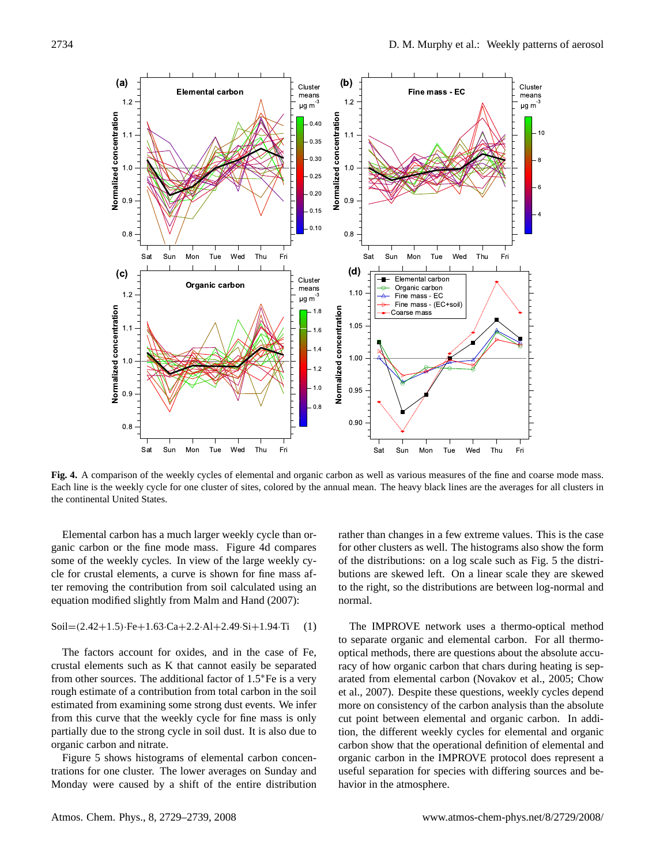

**Fig. 4.** A comparison of the weekly cycles of elemental and organic carbon as well as various measures of the fine and coarse mode mass. Each line is the weekly cycle for one cluster of sites, colored by the annual mean. The heavy black lines are the averages for all clusters in the continental United States.

Elemental carbon has a much larger weekly cycle than organic carbon or the fine mode mass. Figure 4d compares some of the weekly cycles. In view of the large weekly cycle for crustal elements, a curve is shown for fine mass after removing the contribution from soil calculated using an equation modified slightly from Malm and Hand (2007):

## Soil=(2.42+1.5)·Fe+1.63·Ca+2.2·Al+2.49·Si+1.94·Ti (1)

The factors account for oxides, and in the case of Fe, crustal elements such as K that cannot easily be separated from other sources. The additional factor of 1.5∗Fe is a very rough estimate of a contribution from total carbon in the soil estimated from examining some strong dust events. We infer from this curve that the weekly cycle for fine mass is only partially due to the strong cycle in soil dust. It is also due to organic carbon and nitrate.

Figure 5 shows histograms of elemental carbon concentrations for one cluster. The lower averages on Sunday and Monday were caused by a shift of the entire distribution rather than changes in a few extreme values. This is the case for other clusters as well. The histograms also show the form of the distributions: on a log scale such as Fig. 5 the distributions are skewed left. On a linear scale they are skewed to the right, so the distributions are between log-normal and normal.

The IMPROVE network uses a thermo-optical method to separate organic and elemental carbon. For all thermooptical methods, there are questions about the absolute accuracy of how organic carbon that chars during heating is separated from elemental carbon (Novakov et al., 2005; Chow et al., 2007). Despite these questions, weekly cycles depend more on consistency of the carbon analysis than the absolute cut point between elemental and organic carbon. In addition, the different weekly cycles for elemental and organic carbon show that the operational definition of elemental and organic carbon in the IMPROVE protocol does represent a useful separation for species with differing sources and behavior in the atmosphere.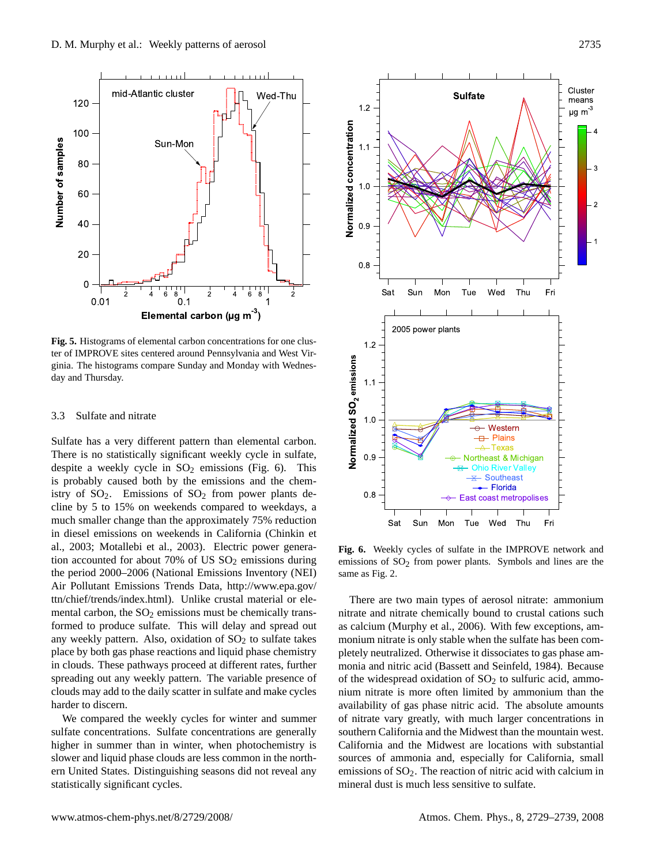

**Fig. 5.** Histograms of elemental carbon concentrations for one cluster of IMPROVE sites centered around Pennsylvania and West Virginia. The histograms compare Sunday and Monday with Wednesday and Thursday.

#### 3.3 Sulfate and nitrate

Sulfate has a very different pattern than elemental carbon. There is no statistically significant weekly cycle in sulfate, despite a weekly cycle in  $SO_2$  emissions (Fig. 6). This is probably caused both by the emissions and the chemistry of  $SO_2$ . Emissions of  $SO_2$  from power plants decline by 5 to 15% on weekends compared to weekdays, a much smaller change than the approximately 75% reduction in diesel emissions on weekends in California (Chinkin et al., 2003; Motallebi et al., 2003). Electric power generation accounted for about 70% of US  $SO_2$  emissions during the period 2000–2006 (National Emissions Inventory (NEI) Air Pollutant Emissions Trends Data, [http://www.epa.gov/](http://www.epa.gov/ttn/chief/trends/index.html) [ttn/chief/trends/index.html\)](http://www.epa.gov/ttn/chief/trends/index.html). Unlike crustal material or elemental carbon, the  $SO<sub>2</sub>$  emissions must be chemically transformed to produce sulfate. This will delay and spread out any weekly pattern. Also, oxidation of  $SO<sub>2</sub>$  to sulfate takes place by both gas phase reactions and liquid phase chemistry in clouds. These pathways proceed at different rates, further spreading out any weekly pattern. The variable presence of clouds may add to the daily scatter in sulfate and make cycles harder to discern.

We compared the weekly cycles for winter and summer sulfate concentrations. Sulfate concentrations are generally higher in summer than in winter, when photochemistry is slower and liquid phase clouds are less common in the northern United States. Distinguishing seasons did not reveal any statistically significant cycles.



**Fig. 6.** Weekly cycles of sulfate in the IMPROVE network and emissions of  $SO<sub>2</sub>$  from power plants. Symbols and lines are the same as Fig. 2.

There are two main types of aerosol nitrate: ammonium nitrate and nitrate chemically bound to crustal cations such as calcium (Murphy et al., 2006). With few exceptions, ammonium nitrate is only stable when the sulfate has been completely neutralized. Otherwise it dissociates to gas phase ammonia and nitric acid (Bassett and Seinfeld, 1984). Because of the widespread oxidation of  $SO<sub>2</sub>$  to sulfuric acid, ammonium nitrate is more often limited by ammonium than the availability of gas phase nitric acid. The absolute amounts of nitrate vary greatly, with much larger concentrations in southern California and the Midwest than the mountain west. California and the Midwest are locations with substantial sources of ammonia and, especially for California, small emissions of  $SO<sub>2</sub>$ . The reaction of nitric acid with calcium in mineral dust is much less sensitive to sulfate.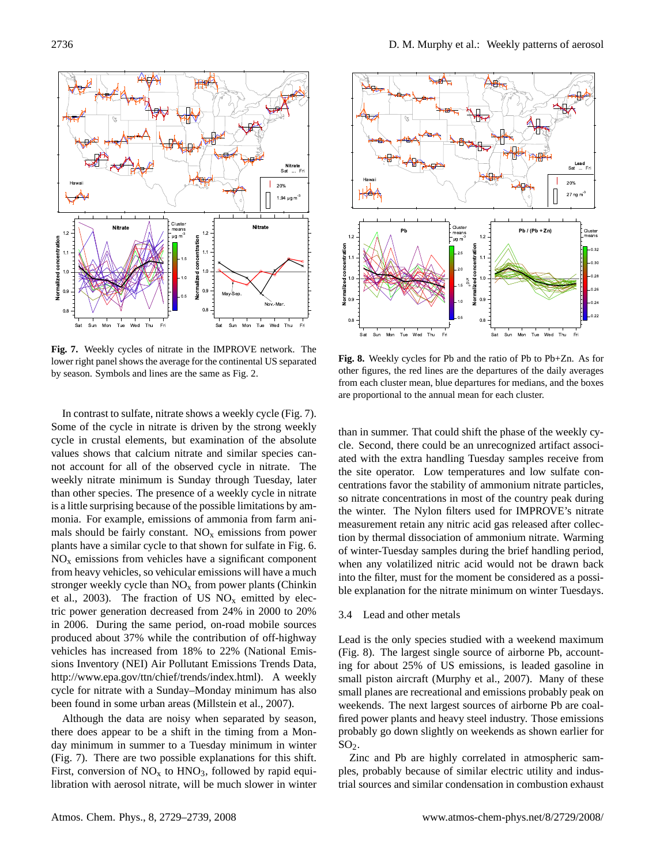

**Fig. 7.** Weekly cycles of nitrate in the IMPROVE network. The lower right panel shows the average for the continental US separated by season. Symbols and lines are the same as Fig. 2.

In contrast to sulfate, nitrate shows a weekly cycle (Fig. 7). Some of the cycle in nitrate is driven by the strong weekly cycle in crustal elements, but examination of the absolute values shows that calcium nitrate and similar species cannot account for all of the observed cycle in nitrate. The weekly nitrate minimum is Sunday through Tuesday, later than other species. The presence of a weekly cycle in nitrate is a little surprising because of the possible limitations by ammonia. For example, emissions of ammonia from farm animals should be fairly constant.  $NO<sub>x</sub>$  emissions from power plants have a similar cycle to that shown for sulfate in Fig. 6.  $NO<sub>x</sub>$  emissions from vehicles have a significant component from heavy vehicles, so vehicular emissions will have a much stronger weekly cycle than  $NO<sub>x</sub>$  from power plants (Chinkin et al., 2003). The fraction of US  $NO<sub>x</sub>$  emitted by electric power generation decreased from 24% in 2000 to 20% in 2006. During the same period, on-road mobile sources produced about 37% while the contribution of off-highway vehicles has increased from 18% to 22% (National Emissions Inventory (NEI) Air Pollutant Emissions Trends Data, [http://www.epa.gov/ttn/chief/trends/index.html\)](http://www.epa.gov/ttn/chief/trends/index.html). A weekly cycle for nitrate with a Sunday–Monday minimum has also been found in some urban areas (Millstein et al., 2007).

Although the data are noisy when separated by season, there does appear to be a shift in the timing from a Monday minimum in summer to a Tuesday minimum in winter (Fig. 7). There are two possible explanations for this shift. First, conversion of  $NO<sub>x</sub>$  to  $HNO<sub>3</sub>$ , followed by rapid equilibration with aerosol nitrate, will be much slower in winter



**Fig. 8.** Weekly cycles for Pb and the ratio of Pb to Pb+Zn. As for other figures, the red lines are the departures of the daily averages from each cluster mean, blue departures for medians, and the boxes are proportional to the annual mean for each cluster.

than in summer. That could shift the phase of the weekly cycle. Second, there could be an unrecognized artifact associated with the extra handling Tuesday samples receive from the site operator. Low temperatures and low sulfate concentrations favor the stability of ammonium nitrate particles, so nitrate concentrations in most of the country peak during the winter. The Nylon filters used for IMPROVE's nitrate measurement retain any nitric acid gas released after collection by thermal dissociation of ammonium nitrate. Warming of winter-Tuesday samples during the brief handling period, when any volatilized nitric acid would not be drawn back into the filter, must for the moment be considered as a possible explanation for the nitrate minimum on winter Tuesdays.

#### 3.4 Lead and other metals

Lead is the only species studied with a weekend maximum (Fig. 8). The largest single source of airborne Pb, accounting for about 25% of US emissions, is leaded gasoline in small piston aircraft (Murphy et al., 2007). Many of these small planes are recreational and emissions probably peak on weekends. The next largest sources of airborne Pb are coalfired power plants and heavy steel industry. Those emissions probably go down slightly on weekends as shown earlier for  $SO<sub>2</sub>$ .

Zinc and Pb are highly correlated in atmospheric samples, probably because of similar electric utility and industrial sources and similar condensation in combustion exhaust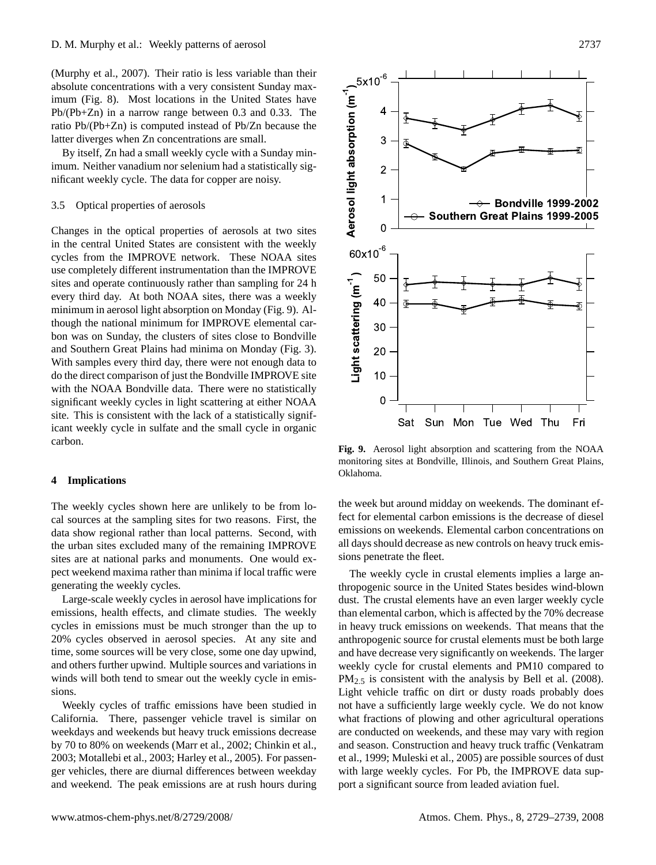(Murphy et al., 2007). Their ratio is less variable than their absolute concentrations with a very consistent Sunday maximum (Fig. 8). Most locations in the United States have Pb/(Pb+Zn) in a narrow range between 0.3 and 0.33. The ratio Pb/(Pb+Zn) is computed instead of Pb/Zn because the latter diverges when Zn concentrations are small.

By itself, Zn had a small weekly cycle with a Sunday minimum. Neither vanadium nor selenium had a statistically significant weekly cycle. The data for copper are noisy.

#### 3.5 Optical properties of aerosols

Changes in the optical properties of aerosols at two sites in the central United States are consistent with the weekly cycles from the IMPROVE network. These NOAA sites use completely different instrumentation than the IMPROVE sites and operate continuously rather than sampling for 24 h every third day. At both NOAA sites, there was a weekly minimum in aerosol light absorption on Monday (Fig. 9). Although the national minimum for IMPROVE elemental carbon was on Sunday, the clusters of sites close to Bondville and Southern Great Plains had minima on Monday (Fig. 3). With samples every third day, there were not enough data to do the direct comparison of just the Bondville IMPROVE site with the NOAA Bondville data. There were no statistically significant weekly cycles in light scattering at either NOAA site. This is consistent with the lack of a statistically significant weekly cycle in sulfate and the small cycle in organic carbon.

#### **4 Implications**

The weekly cycles shown here are unlikely to be from local sources at the sampling sites for two reasons. First, the data show regional rather than local patterns. Second, with the urban sites excluded many of the remaining IMPROVE sites are at national parks and monuments. One would expect weekend maxima rather than minima if local traffic were generating the weekly cycles.

Large-scale weekly cycles in aerosol have implications for emissions, health effects, and climate studies. The weekly cycles in emissions must be much stronger than the up to 20% cycles observed in aerosol species. At any site and time, some sources will be very close, some one day upwind, and others further upwind. Multiple sources and variations in winds will both tend to smear out the weekly cycle in emissions.

Weekly cycles of traffic emissions have been studied in California. There, passenger vehicle travel is similar on weekdays and weekends but heavy truck emissions decrease by 70 to 80% on weekends (Marr et al., 2002; Chinkin et al., 2003; Motallebi et al., 2003; Harley et al., 2005). For passenger vehicles, there are diurnal differences between weekday and weekend. The peak emissions are at rush hours during



**Fig. 9.** Aerosol light absorption and scattering from the NOAA monitoring sites at Bondville, Illinois, and Southern Great Plains, Oklahoma.

the week but around midday on weekends. The dominant effect for elemental carbon emissions is the decrease of diesel emissions on weekends. Elemental carbon concentrations on all days should decrease as new controls on heavy truck emissions penetrate the fleet.

The weekly cycle in crustal elements implies a large anthropogenic source in the United States besides wind-blown dust. The crustal elements have an even larger weekly cycle than elemental carbon, which is affected by the 70% decrease in heavy truck emissions on weekends. That means that the anthropogenic source for crustal elements must be both large and have decrease very significantly on weekends. The larger weekly cycle for crustal elements and PM10 compared to PM<sub>2.5</sub> is consistent with the analysis by Bell et al. (2008). Light vehicle traffic on dirt or dusty roads probably does not have a sufficiently large weekly cycle. We do not know what fractions of plowing and other agricultural operations are conducted on weekends, and these may vary with region and season. Construction and heavy truck traffic (Venkatram et al., 1999; Muleski et al., 2005) are possible sources of dust with large weekly cycles. For Pb, the IMPROVE data support a significant source from leaded aviation fuel.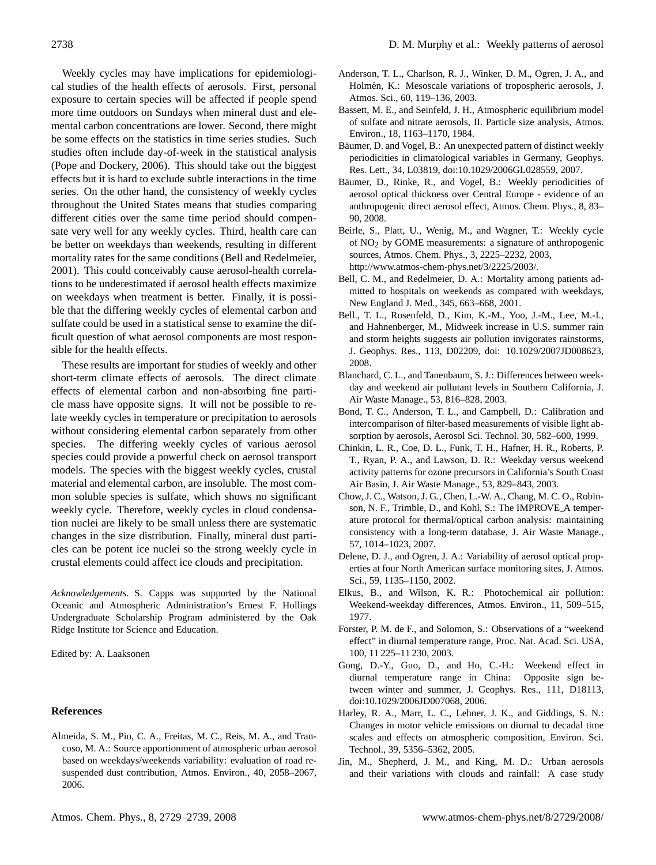Weekly cycles may have implications for epidemiological studies of the health effects of aerosols. First, personal exposure to certain species will be affected if people spend more time outdoors on Sundays when mineral dust and elemental carbon concentrations are lower. Second, there might be some effects on the statistics in time series studies. Such studies often include day-of-week in the statistical analysis (Pope and Dockery, 2006). This should take out the biggest effects but it is hard to exclude subtle interactions in the time series. On the other hand, the consistency of weekly cycles throughout the United States means that studies comparing different cities over the same time period should compensate very well for any weekly cycles. Third, health care can be better on weekdays than weekends, resulting in different mortality rates for the same conditions (Bell and Redelmeier, 2001). This could conceivably cause aerosol-health correlations to be underestimated if aerosol health effects maximize on weekdays when treatment is better. Finally, it is possible that the differing weekly cycles of elemental carbon and sulfate could be used in a statistical sense to examine the difficult question of what aerosol components are most responsible for the health effects.

These results are important for studies of weekly and other short-term climate effects of aerosols. The direct climate effects of elemental carbon and non-absorbing fine particle mass have opposite signs. It will not be possible to relate weekly cycles in temperature or precipitation to aerosols without considering elemental carbon separately from other species. The differing weekly cycles of various aerosol species could provide a powerful check on aerosol transport models. The species with the biggest weekly cycles, crustal material and elemental carbon, are insoluble. The most common soluble species is sulfate, which shows no significant weekly cycle. Therefore, weekly cycles in cloud condensation nuclei are likely to be small unless there are systematic changes in the size distribution. Finally, mineral dust particles can be potent ice nuclei so the strong weekly cycle in crustal elements could affect ice clouds and precipitation.

*Acknowledgements.* S. Capps was supported by the National Oceanic and Atmospheric Administration's Ernest F. Hollings Undergraduate Scholarship Program administered by the Oak Ridge Institute for Science and Education.

Edited by: A. Laaksonen

#### **References**

Almeida, S. M., Pio, C. A., Freitas, M. C., Reis, M. A., and Trancoso, M. A.: Source apportionment of atmospheric urban aerosol based on weekdays/weekends variability: evaluation of road resuspended dust contribution, Atmos. Environ., 40, 2058–2067, 2006.

- Anderson, T. L., Charlson, R. J., Winker, D. M., Ogren, J. A., and Holmén, K.: Mesoscale variations of tropospheric aerosols, J. Atmos. Sci., 60, 119–136, 2003.
- Bassett, M. E., and Seinfeld, J. H., Atmospheric equilibrium model of sulfate and nitrate aerosols, II. Particle size analysis, Atmos. Environ., 18, 1163–1170, 1984.
- Bäumer, D. and Vogel, B.: An unexpected pattern of distinct weekly periodicities in climatological variables in Germany, Geophys. Res. Lett., 34, L03819, doi:10.1029/2006GL028559, 2007.
- Bäumer, D., Rinke, R., and Vogel, B.: Weekly periodicities of aerosol optical thickness over Central Europe - evidence of an anthropogenic direct aerosol effect, Atmos. Chem. Phys., 8, 83– 90, 2008.
- Beirle, S., Platt, U., Wenig, M., and Wagner, T.: Weekly cycle of NO2 by GOME measurements: a signature of anthropogenic sources, Atmos. Chem. Phys., 3, 2225–2232, 2003, [http://www.atmos-chem-phys.net/3/2225/2003/.](http://www.atmos-chem-phys.net/3/2225/2003/)
- Bell, C. M., and Redelmeier, D. A.: Mortality among patients admitted to hospitals on weekends as compared with weekdays, New England J. Med., 345, 663–668, 2001.
- Bell., T. L., Rosenfeld, D., Kim, K.-M., Yoo, J.-M., Lee, M.-I., and Hahnenberger, M., Midweek increase in U.S. summer rain and storm heights suggests air pollution invigorates rainstorms, J. Geophys. Res., 113, D02209, doi: 10.1029/2007JD008623, 2008.
- Blanchard, C. L., and Tanenbaum, S. J.: Differences between weekday and weekend air pollutant levels in Southern California, J. Air Waste Manage., 53, 816–828, 2003.
- Bond, T. C., Anderson, T. L., and Campbell, D.: Calibration and intercomparison of filter-based measurements of visible light absorption by aerosols, Aerosol Sci. Technol. 30, 582–600, 1999.
- Chinkin, L. R., Coe, D. L., Funk, T. H., Hafner, H. R., Roberts, P. T., Ryan, P. A., and Lawson, D. R.: Weekday versus weekend activity patterns for ozone precursors in California's South Coast Air Basin, J. Air Waste Manage., 53, 829–843, 2003.
- Chow, J. C., Watson, J. G., Chen, L.-W. A., Chang, M. C. O., Robinson, N. F., Trimble, D., and Kohl, S.: The IMPROVE A temperature protocol for thermal/optical carbon analysis: maintaining consistency with a long-term database, J. Air Waste Manage., 57, 1014–1023, 2007.
- Delene, D. J., and Ogren, J. A.: Variability of aerosol optical properties at four North American surface monitoring sites, J. Atmos. Sci., 59, 1135–1150, 2002.
- Elkus, B., and Wilson, K. R.: Photochemical air pollution: Weekend-weekday differences, Atmos. Environ., 11, 509–515, 1977.
- Forster, P. M. de F., and Solomon, S.: Observations of a "weekend effect" in diurnal temperature range, Proc. Nat. Acad. Sci. USA, 100, 11 225–11 230, 2003.
- Gong, D.-Y., Guo, D., and Ho, C.-H.: Weekend effect in diurnal temperature range in China: Opposite sign between winter and summer, J. Geophys. Res., 111, D18113, doi:10.1029/2006JD007068, 2006.
- Harley, R. A., Marr, L. C., Lehner, J. K., and Giddings, S. N.: Changes in motor vehicle emissions on diurnal to decadal time scales and effects on atmospheric composition, Environ. Sci. Technol., 39, 5356–5362, 2005.
- Jin, M., Shepherd, J. M., and King, M. D.: Urban aerosols and their variations with clouds and rainfall: A case study